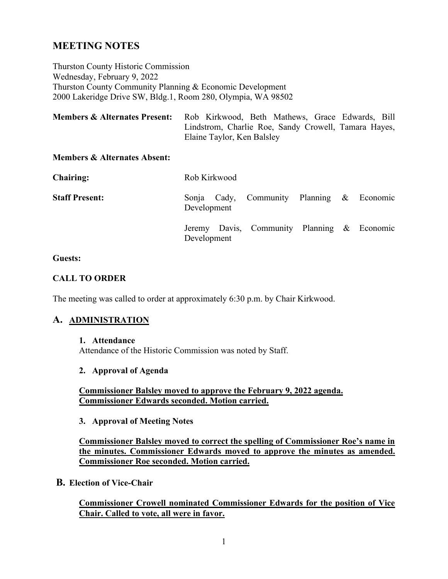# **MEETING NOTES**

Thurston County Historic Commission Wednesday, February 9, 2022 Thurston County Community Planning & Economic Development 2000 Lakeridge Drive SW, Bldg.1, Room 280, Olympia, WA 98502

| <b>Members &amp; Alternates Present:</b> | Rob Kirkwood, Beth Mathews, Grace Edwards, Bill      |  |  |  |  |  |
|------------------------------------------|------------------------------------------------------|--|--|--|--|--|
|                                          | Lindstrom, Charlie Roe, Sandy Crowell, Tamara Hayes, |  |  |  |  |  |
|                                          | Elaine Taylor, Ken Balsley                           |  |  |  |  |  |

#### **Members & Alternates Absent:**

| <b>Chairing:</b>      | Rob Kirkwood |  |                                             |  |  |  |  |
|-----------------------|--------------|--|---------------------------------------------|--|--|--|--|
| <b>Staff Present:</b> | Development  |  | Sonja Cady, Community Planning & Economic   |  |  |  |  |
|                       | Development  |  | Jeremy Davis, Community Planning & Economic |  |  |  |  |

#### **Guests:**

#### **CALL TO ORDER**

The meeting was called to order at approximately 6:30 p.m. by Chair Kirkwood.

# **A. ADMINISTRATION**

#### **1. Attendance**

Attendance of the Historic Commission was noted by Staff.

#### **2. Approval of Agenda**

**Commissioner Balsley moved to approve the February 9, 2022 agenda. Commissioner Edwards seconded. Motion carried.**

#### **3. Approval of Meeting Notes**

**Commissioner Balsley moved to correct the spelling of Commissioner Roe's name in the minutes. Commissioner Edwards moved to approve the minutes as amended. Commissioner Roe seconded. Motion carried.**

## **B. Election of Vice-Chair**

**Commissioner Crowell nominated Commissioner Edwards for the position of Vice Chair. Called to vote, all were in favor.**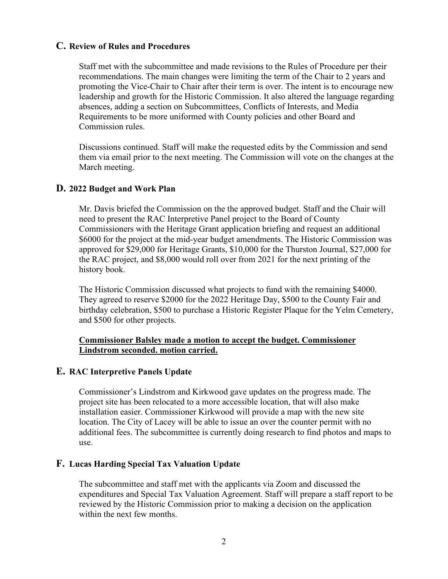# **C. Review of Rules and Procedures**

Staff met with the subcommittee and made revisions to the Rules of Procedure per their recommendations. The main changes were limiting the term of the Chair to 2 years and promoting the Vice-Chair to Chair after their term is over. The intent is to encourage new leadership and growth for the Historic Commission. It also altered the language regarding absences, adding a section on Subcommittees, Conflicts of Interests, and Media Requirements to be more uniformed with County policies and other Board and Commission rules.

Discussions continued. Staff will make the requested edits by the Commission and send them via email prior to the next meeting. The Commission will vote on the changes at the March meeting.

## **D. 2022 Budget and Work Plan**

Mr. Davis briefed the Commission on the the approved budget. Staff and the Chair will need to present the RAC Interpretive Panel project to the Board of County Commissioners with the Heritage Grant application briefing and request an additional \$6000 for the project at the mid-year budget amendments. The Historic Commission was approved for \$29,000 for Heritage Grants, \$10,000 for the Thurston Journal, \$27,000 for the RAC project, and \$8,000 would roll over from 2021 for the next printing of the history book.

The Historic Commission discussed what projects to fund with the remaining \$4000. They agreed to reserve \$2000 for the 2022 Heritage Day, \$500 to the County Fair and birthday celebration, \$500 to purchase a Historic Register Plaque for the Yelm Cemetery, and \$500 for other projects.

## **Commissioner Balsley made a motion to accept the budget. Commissioner Lindstrom seconded. motion carried.**

#### **E. RAC Interpretive Panels Update**

Commissioner's Lindstrom and Kirkwood gave updates on the progress made. The project site has been relocated to a more accessible location, that will also make installation easier. Commissioner Kirkwood will provide a map with the new site location. The City of Lacey will be able to issue an over the counter permit with no additional fees. The subcommittee is currently doing research to find photos and maps to use.

#### **F. Lucas Harding Special Tax Valuation Update**

The subcommittee and staff met with the applicants via Zoom and discussed the expenditures and Special Tax Valuation Agreement. Staff will prepare a staff report to be reviewed by the Historic Commission prior to making a decision on the application within the next few months.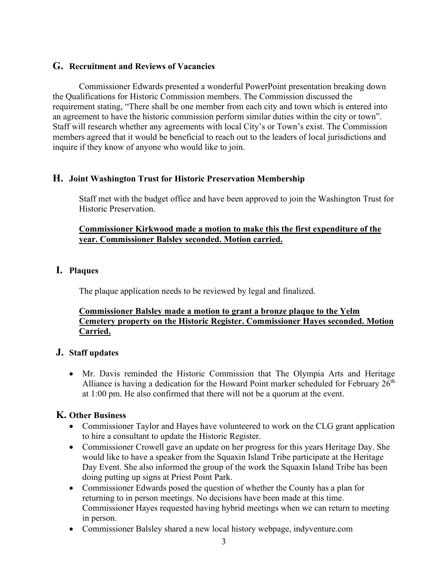# **G. Recruitment and Reviews of Vacancies**

Commissioner Edwards presented a wonderful PowerPoint presentation breaking down the Qualifications for Historic Commission members. The Commission discussed the requirement stating, "There shall be one member from each city and town which is entered into an agreement to have the historic commission perform similar duties within the city or town". Staff will research whether any agreements with local City's or Town's exist. The Commission members agreed that it would be beneficial to reach out to the leaders of local jurisdictions and inquire if they know of anyone who would like to join.

# **H. Joint Washington Trust for Historic Preservation Membership**

Staff met with the budget office and have been approved to join the Washington Trust for Historic Preservation.

# **Commissioner Kirkwood made a motion to make this the first expenditure of the year. Commissioner Balsley seconded. Motion carried.**

# **I. Plaques**

The plaque application needs to be reviewed by legal and finalized.

# **Commissioner Balsley made a motion to grant a bronze plaque to the Yelm Cemetery property on the Historic Register. Commissioner Hayes seconded. Motion Carried.**

# **J. Staff updates**

• Mr. Davis reminded the Historic Commission that The Olympia Arts and Heritage Alliance is having a dedication for the Howard Point marker scheduled for February  $26<sup>th</sup>$ at 1:00 pm. He also confirmed that there will not be a quorum at the event.

# **K. Other Business**

- Commissioner Taylor and Hayes have volunteered to work on the CLG grant application to hire a consultant to update the Historic Register.
- Commissioner Crowell gave an update on her progress for this years Heritage Day. She would like to have a speaker from the Squaxin Island Tribe participate at the Heritage Day Event. She also informed the group of the work the Squaxin Island Tribe has been doing putting up signs at Priest Point Park.
- Commissioner Edwards posed the question of whether the County has a plan for returning to in person meetings. No decisions have been made at this time. Commissioner Hayes requested having hybrid meetings when we can return to meeting in person.
- Commissioner Balsley shared a new local history webpage, indyventure.com